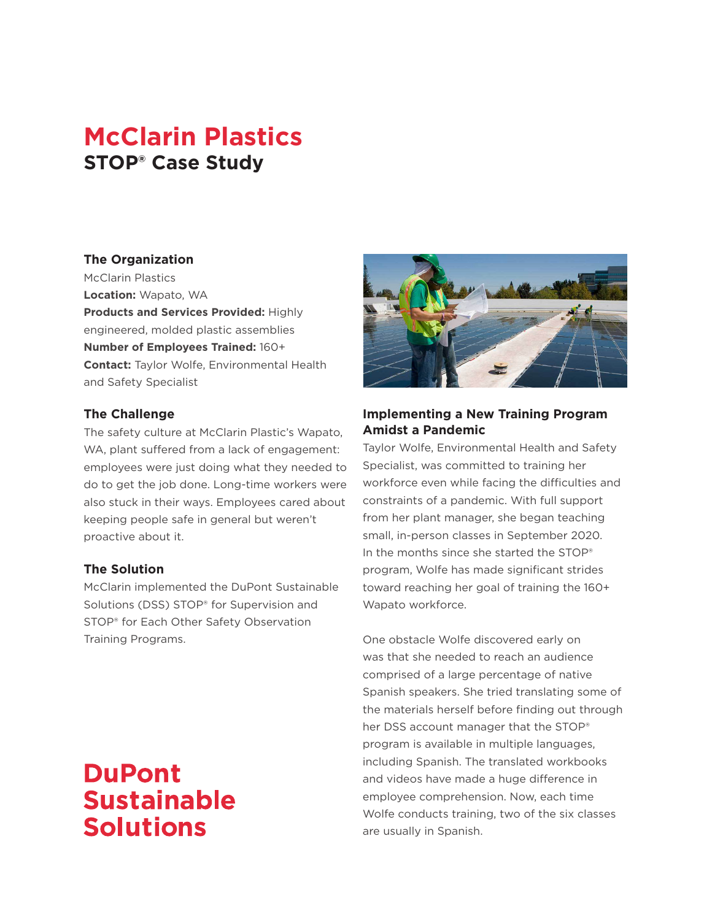# **McClarin Plastics STOP® Case Study**

## **The Organization**

McClarin Plastics **Location:** Wapato, WA **Products and Services Provided:** Highly engineered, molded plastic assemblies **Number of Employees Trained:** 160+ **Contact:** Taylor Wolfe, Environmental Health and Safety Specialist

## **The Challenge**

The safety culture at McClarin Plastic's Wapato, WA, plant suffered from a lack of engagement: employees were just doing what they needed to do to get the job done. Long-time workers were also stuck in their ways. Employees cared about keeping people safe in general but weren't proactive about it.

## **The Solution**

McClarin implemented the DuPont Sustainable Solutions (DSS) STOP® for Supervision and STOP® for Each Other Safety Observation Training Programs.

# **DuPont Sustainable Solutions**



# **Implementing a New Training Program Amidst a Pandemic**

Taylor Wolfe, Environmental Health and Safety Specialist, was committed to training her workforce even while facing the difficulties and constraints of a pandemic. With full support from her plant manager, she began teaching small, in-person classes in September 2020. In the months since she started the STOP® program, Wolfe has made significant strides toward reaching her goal of training the 160+ Wapato workforce.

One obstacle Wolfe discovered early on was that she needed to reach an audience comprised of a large percentage of native Spanish speakers. She tried translating some of the materials herself before finding out through her DSS account manager that the STOP® program is available in multiple languages, including Spanish. The translated workbooks and videos have made a huge difference in employee comprehension. Now, each time Wolfe conducts training, two of the six classes are usually in Spanish.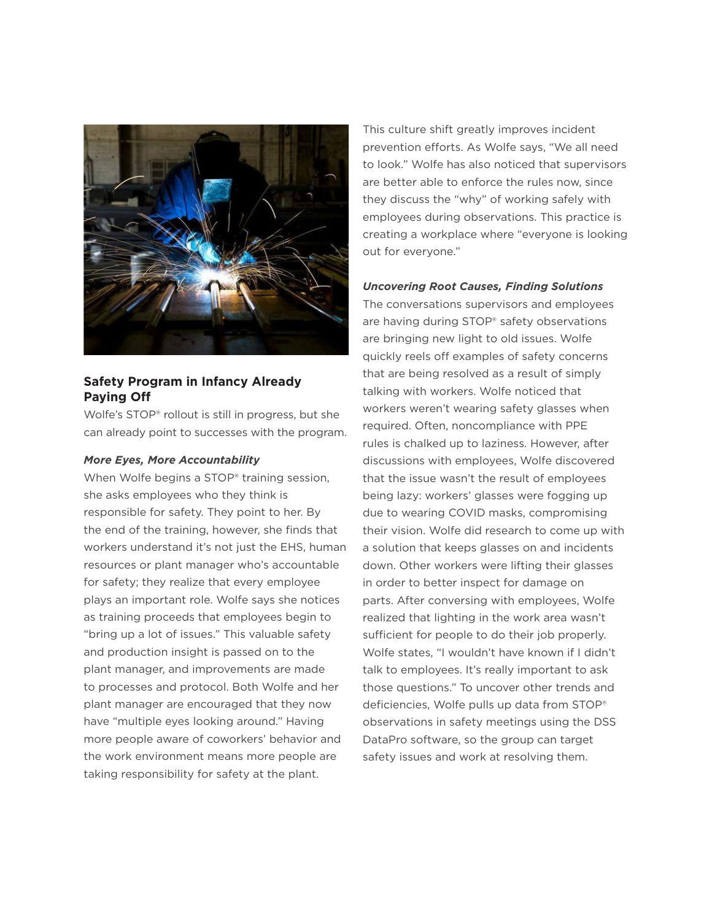

# **Safety Program in Infancy Already Paying Off**

Wolfe's STOP® rollout is still in progress, but she can already point to successes with the program.

#### *More Eyes, More Accountability*

When Wolfe begins a STOP<sup>®</sup> training session, she asks employees who they think is responsible for safety. They point to her. By the end of the training, however, she finds that workers understand it's not just the EHS, human resources or plant manager who's accountable for safety; they realize that every employee plays an important role. Wolfe says she notices as training proceeds that employees begin to "bring up a lot of issues." This valuable safety and production insight is passed on to the plant manager, and improvements are made to processes and protocol. Both Wolfe and her plant manager are encouraged that they now have "multiple eyes looking around." Having more people aware of coworkers' behavior and the work environment means more people are taking responsibility for safety at the plant.

This culture shift greatly improves incident prevention efforts. As Wolfe says, "We all need to look." Wolfe has also noticed that supervisors are better able to enforce the rules now, since they discuss the "why" of working safely with employees during observations. This practice is creating a workplace where "everyone is looking out for everyone."

### *Uncovering Root Causes, Finding Solutions*

The conversations supervisors and employees are having during STOP<sup>®</sup> safety observations are bringing new light to old issues. Wolfe quickly reels off examples of safety concerns that are being resolved as a result of simply talking with workers. Wolfe noticed that workers weren't wearing safety glasses when required. Often, noncompliance with PPE rules is chalked up to laziness. However, after discussions with employees, Wolfe discovered that the issue wasn't the result of employees being lazy: workers' glasses were fogging up due to wearing COVID masks, compromising their vision. Wolfe did research to come up with a solution that keeps glasses on and incidents down. Other workers were lifting their glasses in order to better inspect for damage on parts. After conversing with employees, Wolfe realized that lighting in the work area wasn't sufficient for people to do their job properly. Wolfe states, "I wouldn't have known if I didn't talk to employees. It's really important to ask those questions." To uncover other trends and deficiencies, Wolfe pulls up data from STOP® observations in safety meetings using the DSS DataPro software, so the group can target safety issues and work at resolving them.